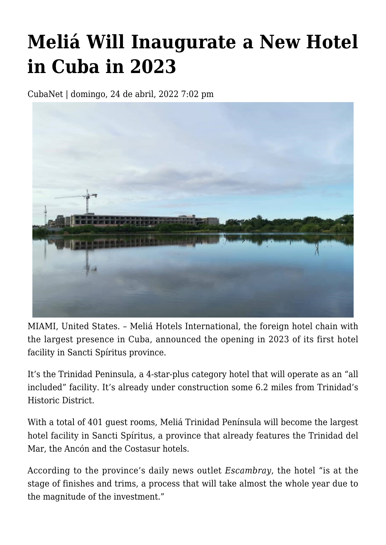## **[Meliá Will Inaugurate a New Hotel](https://www.cubanet.org/english/melia-will-inaugurate-a-new-hotel-in-cuba-in-2023/) [in Cuba in 2023](https://www.cubanet.org/english/melia-will-inaugurate-a-new-hotel-in-cuba-in-2023/)**

CubaNet | domingo, 24 de abril, 2022 7:02 pm



MIAMI, United States. – Meliá Hotels International, the foreign hotel chain with the largest presence in Cuba, announced the opening in 2023 of its first hotel facility in Sancti Spíritus province.

It's the Trinidad Peninsula, a 4-star-plus category hotel that will operate as an "all included" facility. It's already under construction some 6.2 miles from Trinidad's Historic District.

With a total of 401 guest rooms, Meliá Trinidad Península will become the largest hotel facility in Sancti Spíritus, a province that already features the Trinidad del Mar, the Ancón and the Costasur hotels.

According to the province's daily news outlet *Escambray*, the hotel "is at the stage of finishes and trims, a process that will take almost the whole year due to the magnitude of the investment."